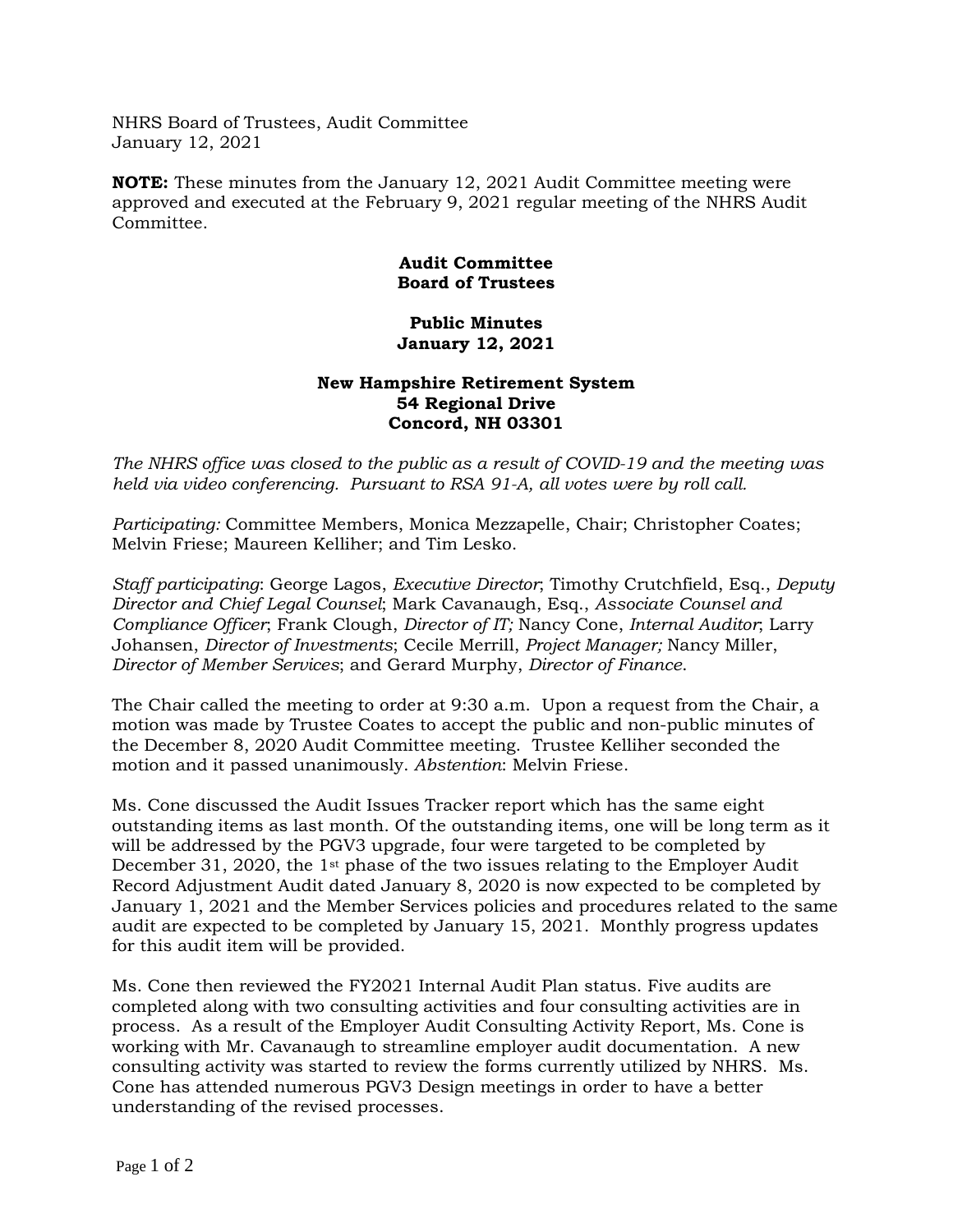NHRS Board of Trustees, Audit Committee January 12, 2021

**NOTE:** These minutes from the January 12, 2021 Audit Committee meeting were approved and executed at the February 9, 2021 regular meeting of the NHRS Audit Committee.

## **Audit Committee Board of Trustees**

## **Public Minutes January 12, 2021**

## **New Hampshire Retirement System 54 Regional Drive Concord, NH 03301**

*The NHRS office was closed to the public as a result of COVID-19 and the meeting was held via video conferencing. Pursuant to RSA 91-A, all votes were by roll call.*

*Participating:* Committee Members, Monica Mezzapelle, Chair; Christopher Coates; Melvin Friese; Maureen Kelliher; and Tim Lesko.

*Staff participating*: George Lagos, *Executive Director*; Timothy Crutchfield, Esq., *Deputy Director and Chief Legal Counsel*; Mark Cavanaugh, Esq., *Associate Counsel and Compliance Officer*; Frank Clough, *Director of IT;* Nancy Cone, *Internal Auditor*; Larry Johansen, *Director of Investments*; Cecile Merrill, *Project Manager;* Nancy Miller, *Director of Member Services*; and Gerard Murphy, *Director of Finance*.

The Chair called the meeting to order at 9:30 a.m. Upon a request from the Chair, a motion was made by Trustee Coates to accept the public and non-public minutes of the December 8, 2020 Audit Committee meeting. Trustee Kelliher seconded the motion and it passed unanimously. *Abstention*: Melvin Friese.

Ms. Cone discussed the Audit Issues Tracker report which has the same eight outstanding items as last month. Of the outstanding items, one will be long term as it will be addressed by the PGV3 upgrade, four were targeted to be completed by December 31, 2020, the 1<sup>st</sup> phase of the two issues relating to the Employer Audit Record Adjustment Audit dated January 8, 2020 is now expected to be completed by January 1, 2021 and the Member Services policies and procedures related to the same audit are expected to be completed by January 15, 2021. Monthly progress updates for this audit item will be provided.

Ms. Cone then reviewed the FY2021 Internal Audit Plan status. Five audits are completed along with two consulting activities and four consulting activities are in process. As a result of the Employer Audit Consulting Activity Report, Ms. Cone is working with Mr. Cavanaugh to streamline employer audit documentation. A new consulting activity was started to review the forms currently utilized by NHRS. Ms. Cone has attended numerous PGV3 Design meetings in order to have a better understanding of the revised processes.